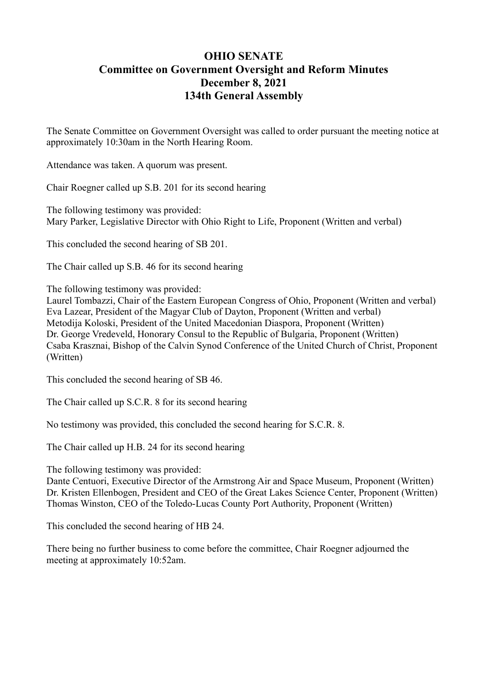## **OHIO SENATE Committee on Government Oversight and Reform Minutes December 8, 2021 134th General Assembly**

The Senate Committee on Government Oversight was called to order pursuant the meeting notice at approximately 10:30am in the North Hearing Room.

Attendance was taken. A quorum was present.

Chair Roegner called up S.B. 201 for its second hearing

The following testimony was provided: Mary Parker, Legislative Director with Ohio Right to Life, Proponent (Written and verbal)

This concluded the second hearing of SB 201.

The Chair called up S.B. 46 for its second hearing

The following testimony was provided:

Laurel Tombazzi, Chair of the Eastern European Congress of Ohio, Proponent (Written and verbal) Eva Lazear, President of the Magyar Club of Dayton, Proponent (Written and verbal) Metodija Koloski, President of the United Macedonian Diaspora, Proponent (Written) Dr. George Vredeveld, Honorary Consul to the Republic of Bulgaria, Proponent (Written) Csaba Krasznai, Bishop of the Calvin Synod Conference of the United Church of Christ, Proponent (Written)

This concluded the second hearing of SB 46.

The Chair called up S.C.R. 8 for its second hearing

No testimony was provided, this concluded the second hearing for S.C.R. 8.

The Chair called up H.B. 24 for its second hearing

The following testimony was provided:

Dante Centuori, Executive Director of the Armstrong Air and Space Museum, Proponent (Written) Dr. Kristen Ellenbogen, President and CEO of the Great Lakes Science Center, Proponent (Written) Thomas Winston, CEO of the Toledo-Lucas County Port Authority, Proponent (Written)

This concluded the second hearing of HB 24.

There being no further business to come before the committee, Chair Roegner adjourned the meeting at approximately 10:52am.